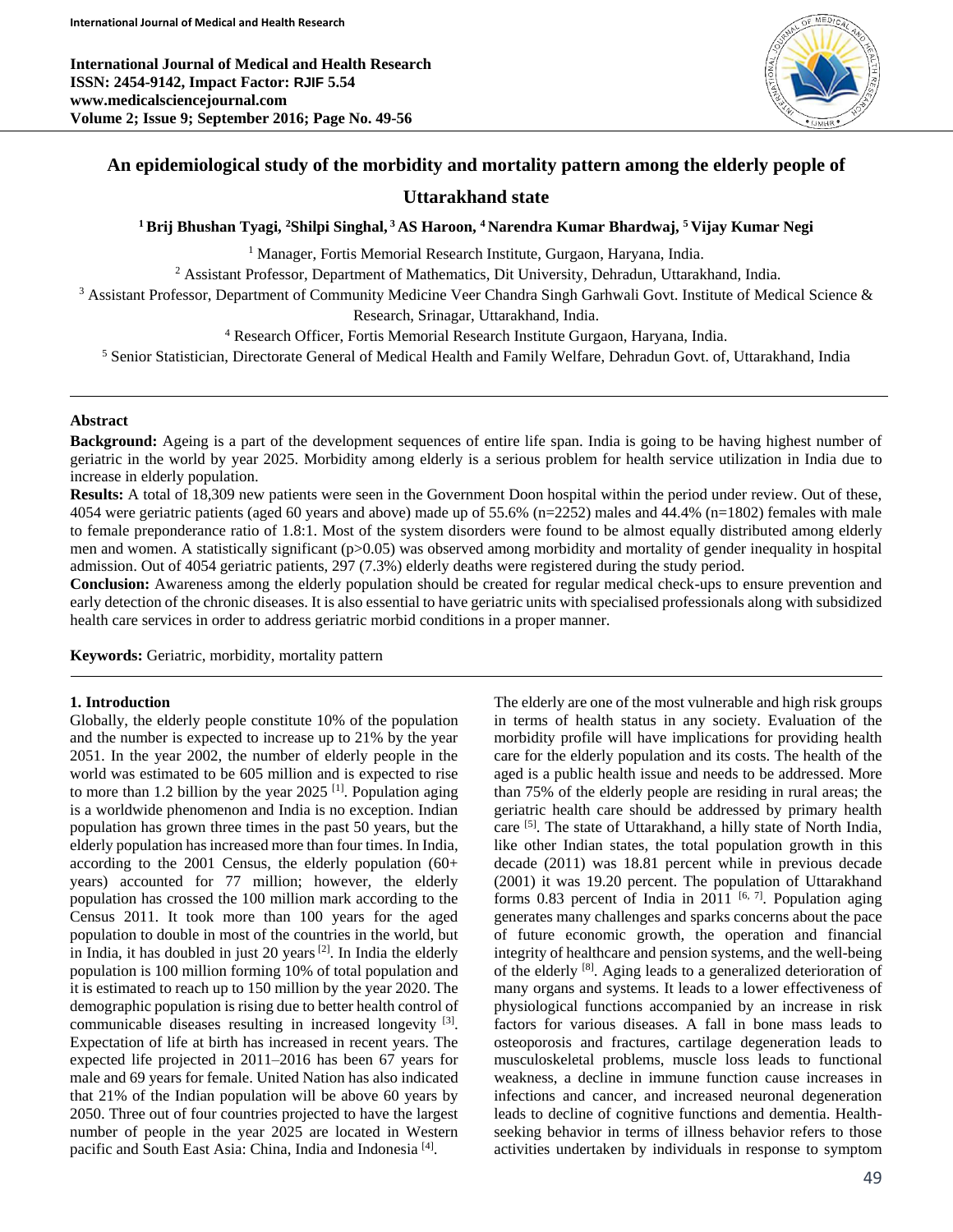**International Journal of Medical and Health Research ISSN: 2454-9142, Impact Factor: RJIF 5.54 www.medicalsciencejournal.com Volume 2; Issue 9; September 2016; Page No. 49-56**



## **An epidemiological study of the morbidity and mortality pattern among the elderly people of**

# **Uttarakhand state**

**<sup>1</sup>Brij Bhushan Tyagi, <sup>2</sup>Shilpi Singhal, <sup>3</sup> AS Haroon, <sup>4</sup> Narendra Kumar Bhardwaj, <sup>5</sup> Vijay Kumar Negi**

<sup>1</sup> Manager, Fortis Memorial Research Institute, Gurgaon, Haryana, India.

<sup>2</sup> Assistant Professor, Department of Mathematics, Dit University, Dehradun, Uttarakhand, India.

 $3$  Assistant Professor, Department of Community Medicine Veer Chandra Singh Garhwali Govt. Institute of Medical Science  $\&$ 

Research, Srinagar, Uttarakhand, India.

<sup>4</sup> Research Officer, Fortis Memorial Research Institute Gurgaon, Haryana, India.

<sup>5</sup> Senior Statistician, Directorate General of Medical Health and Family Welfare, Dehradun Govt. of, Uttarakhand, India

## **Abstract**

**Background:** Ageing is a part of the development sequences of entire life span. India is going to be having highest number of geriatric in the world by year 2025. Morbidity among elderly is a serious problem for health service utilization in India due to increase in elderly population.

**Results:** A total of 18,309 new patients were seen in the Government Doon hospital within the period under review. Out of these, 4054 were geriatric patients (aged 60 years and above) made up of 55.6% (n=2252) males and 44.4% (n=1802) females with male to female preponderance ratio of 1.8:1. Most of the system disorders were found to be almost equally distributed among elderly men and women. A statistically significant (p>0.05) was observed among morbidity and mortality of gender inequality in hospital admission. Out of 4054 geriatric patients, 297 (7.3%) elderly deaths were registered during the study period.

**Conclusion:** Awareness among the elderly population should be created for regular medical check-ups to ensure prevention and early detection of the chronic diseases. It is also essential to have geriatric units with specialised professionals along with subsidized health care services in order to address geriatric morbid conditions in a proper manner.

**Keywords:** Geriatric, morbidity, mortality pattern

## **1. Introduction**

Globally, the elderly people constitute 10% of the population and the number is expected to increase up to 21% by the year 2051. In the year 2002, the number of elderly people in the world was estimated to be 605 million and is expected to rise to more than 1.2 billion by the year  $2025$  <sup>[1]</sup>. Population aging is a worldwide phenomenon and India is no exception. Indian population has grown three times in the past 50 years, but the elderly population has increased more than four times. In India, according to the 2001 Census, the elderly population (60+ years) accounted for 77 million; however, the elderly population has crossed the 100 million mark according to the Census 2011. It took more than 100 years for the aged population to double in most of the countries in the world, but in India, it has doubled in just 20 years  $[2]$ . In India the elderly population is 100 million forming 10% of total population and it is estimated to reach up to 150 million by the year 2020. The demographic population is rising due to better health control of communicable diseases resulting in increased longevity [3]. Expectation of life at birth has increased in recent years. The expected life projected in 2011–2016 has been 67 years for male and 69 years for female. United Nation has also indicated that 21% of the Indian population will be above 60 years by 2050. Three out of four countries projected to have the largest number of people in the year 2025 are located in Western pacific and South East Asia: China, India and Indonesia<sup>[4]</sup>.

The elderly are one of the most vulnerable and high risk groups in terms of health status in any society. Evaluation of the morbidity profile will have implications for providing health care for the elderly population and its costs. The health of the aged is a public health issue and needs to be addressed. More than 75% of the elderly people are residing in rural areas; the geriatric health care should be addressed by primary health care <sup>[5]</sup>. The state of Uttarakhand, a hilly state of North India, like other Indian states, the total population growth in this decade (2011) was 18.81 percent while in previous decade (2001) it was 19.20 percent. The population of Uttarakhand forms 0.83 percent of India in 2011  $[6, 7]$ . Population aging generates many challenges and sparks concerns about the pace of future economic growth, the operation and financial integrity of healthcare and pension systems, and the well-being of the elderly <sup>[8]</sup>. Aging leads to a generalized deterioration of many organs and systems. It leads to a lower effectiveness of physiological functions accompanied by an increase in risk factors for various diseases. A fall in bone mass leads to osteoporosis and fractures, cartilage degeneration leads to musculoskeletal problems, muscle loss leads to functional weakness, a decline in immune function cause increases in infections and cancer, and increased neuronal degeneration leads to decline of cognitive functions and dementia. Healthseeking behavior in terms of illness behavior refers to those activities undertaken by individuals in response to symptom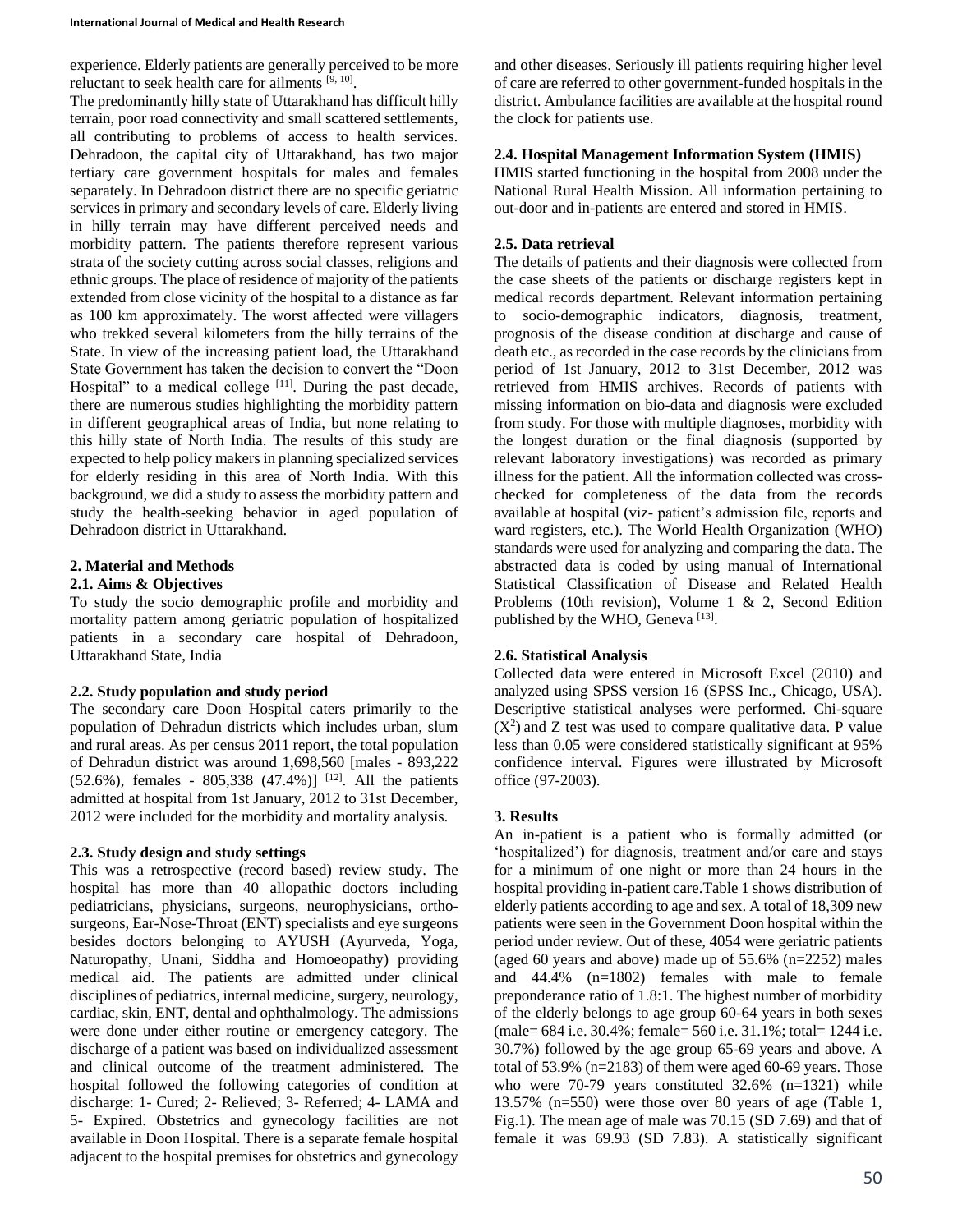experience. Elderly patients are generally perceived to be more reluctant to seek health care for ailments [9, 10].

The predominantly hilly state of Uttarakhand has difficult hilly terrain, poor road connectivity and small scattered settlements, all contributing to problems of access to health services. Dehradoon, the capital city of Uttarakhand, has two major tertiary care government hospitals for males and females separately. In Dehradoon district there are no specific geriatric services in primary and secondary levels of care. Elderly living in hilly terrain may have different perceived needs and morbidity pattern. The patients therefore represent various strata of the society cutting across social classes, religions and ethnic groups. The place of residence of majority of the patients extended from close vicinity of the hospital to a distance as far as 100 km approximately. The worst affected were villagers who trekked several kilometers from the hilly terrains of the State. In view of the increasing patient load, the Uttarakhand State Government has taken the decision to convert the "Doon Hospital" to a medical college  $[11]$ . During the past decade, there are numerous studies highlighting the morbidity pattern in different geographical areas of India, but none relating to this hilly state of North India. The results of this study are expected to help policy makers in planning specialized services for elderly residing in this area of North India. With this background, we did a study to assess the morbidity pattern and study the health-seeking behavior in aged population of Dehradoon district in Uttarakhand.

# **2. Material and Methods**

## **2.1. Aims & Objectives**

To study the socio demographic profile and morbidity and mortality pattern among geriatric population of hospitalized patients in a secondary care hospital of Dehradoon, Uttarakhand State, India

## **2.2. Study population and study period**

The secondary care Doon Hospital caters primarily to the population of Dehradun districts which includes urban, slum and rural areas. As per census 2011 report, the total population of Dehradun district was around 1,698,560 [males - 893,222  $(52.6\%)$ , females - 805,338  $(47.4\%)$ <sup>[12]</sup>. All the patients admitted at hospital from 1st January, 2012 to 31st December, 2012 were included for the morbidity and mortality analysis.

## **2.3. Study design and study settings**

This was a retrospective (record based) review study. The hospital has more than 40 allopathic doctors including pediatricians, physicians, surgeons, neurophysicians, orthosurgeons, Ear-Nose-Throat (ENT) specialists and eye surgeons besides doctors belonging to AYUSH (Ayurveda, Yoga, Naturopathy, Unani, Siddha and Homoeopathy) providing medical aid. The patients are admitted under clinical disciplines of pediatrics, internal medicine, surgery, neurology, cardiac, skin, ENT, dental and ophthalmology. The admissions were done under either routine or emergency category. The discharge of a patient was based on individualized assessment and clinical outcome of the treatment administered. The hospital followed the following categories of condition at discharge: 1- Cured; 2- Relieved; 3- Referred; 4- LAMA and 5- Expired. Obstetrics and gynecology facilities are not available in Doon Hospital. There is a separate female hospital adjacent to the hospital premises for obstetrics and gynecology and other diseases. Seriously ill patients requiring higher level of care are referred to other government-funded hospitals in the district. Ambulance facilities are available at the hospital round the clock for patients use.

## **2.4. Hospital Management Information System (HMIS)**

HMIS started functioning in the hospital from 2008 under the National Rural Health Mission. All information pertaining to out-door and in-patients are entered and stored in HMIS.

## **2.5. Data retrieval**

The details of patients and their diagnosis were collected from the case sheets of the patients or discharge registers kept in medical records department. Relevant information pertaining to socio-demographic indicators, diagnosis, treatment, prognosis of the disease condition at discharge and cause of death etc., as recorded in the case records by the clinicians from period of 1st January, 2012 to 31st December, 2012 was retrieved from HMIS archives. Records of patients with missing information on bio-data and diagnosis were excluded from study. For those with multiple diagnoses, morbidity with the longest duration or the final diagnosis (supported by relevant laboratory investigations) was recorded as primary illness for the patient. All the information collected was crosschecked for completeness of the data from the records available at hospital (viz- patient's admission file, reports and ward registers, etc.). The World Health Organization (WHO) standards were used for analyzing and comparing the data. The abstracted data is coded by using manual of International Statistical Classification of Disease and Related Health Problems (10th revision), Volume 1 & 2, Second Edition published by the WHO, Geneva<sup>[13]</sup>.

## **2.6. Statistical Analysis**

Collected data were entered in Microsoft Excel (2010) and analyzed using SPSS version 16 (SPSS Inc., Chicago, USA). Descriptive statistical analyses were performed. Chi-square  $(X<sup>2</sup>)$  and Z test was used to compare qualitative data. P value less than 0.05 were considered statistically significant at 95% confidence interval. Figures were illustrated by Microsoft office (97-2003).

## **3. Results**

An in-patient is a patient who is formally admitted (or 'hospitalized') for diagnosis, treatment and/or care and stays for a minimum of one night or more than 24 hours in the hospital providing in-patient care.Table 1 shows distribution of elderly patients according to age and sex. A total of 18,309 new patients were seen in the Government Doon hospital within the period under review. Out of these, 4054 were geriatric patients (aged 60 years and above) made up of 55.6% (n=2252) males and 44.4% (n=1802) females with male to female preponderance ratio of 1.8:1. The highest number of morbidity of the elderly belongs to age group 60-64 years in both sexes (male= 684 i.e. 30.4%; female= 560 i.e. 31.1%; total= 1244 i.e. 30.7%) followed by the age group 65-69 years and above. A total of 53.9% (n=2183) of them were aged 60-69 years. Those who were 70-79 years constituted 32.6% (n=1321) while 13.57% (n=550) were those over 80 years of age (Table 1, Fig.1). The mean age of male was 70.15 (SD 7.69) and that of female it was 69.93 (SD 7.83). A statistically significant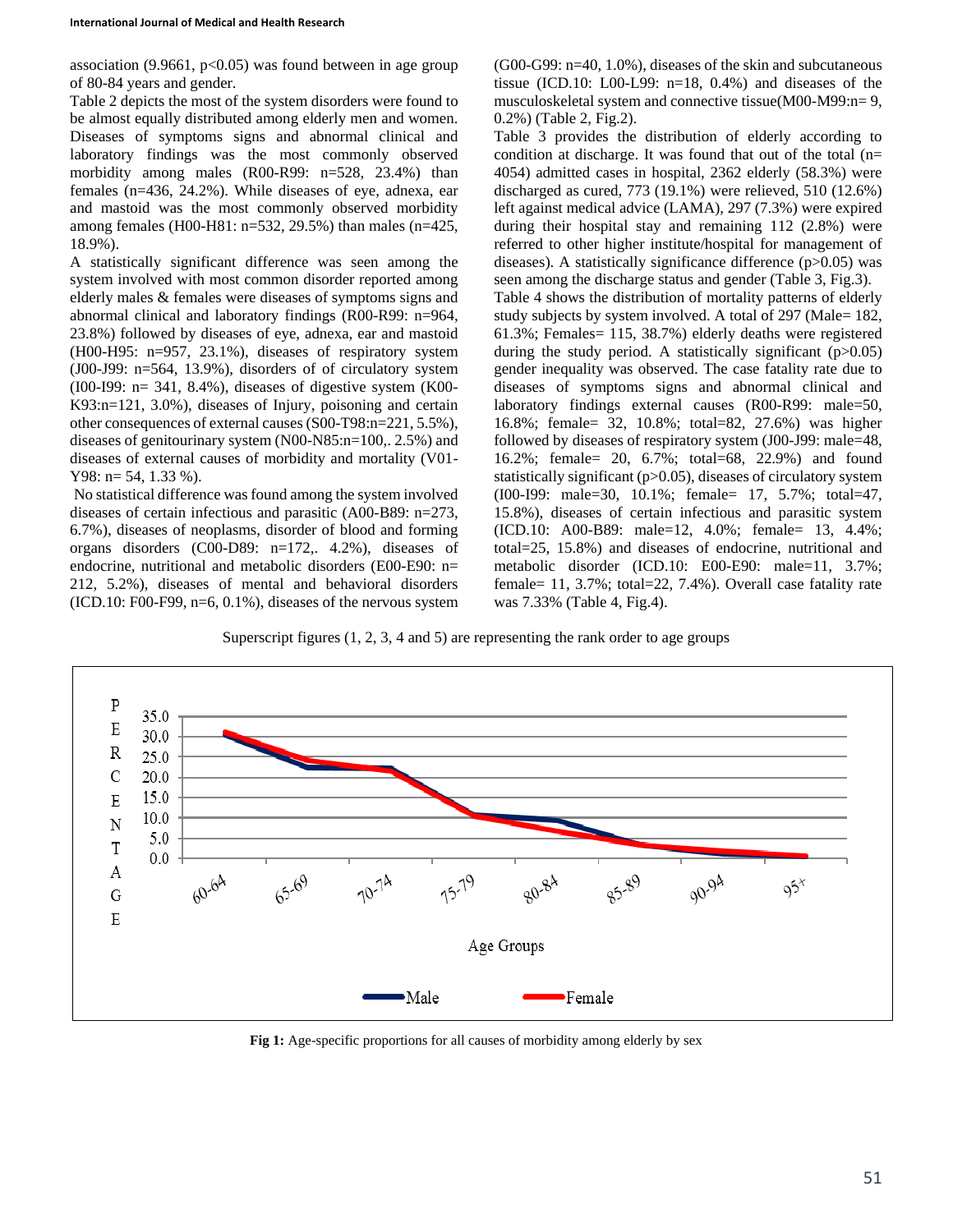association  $(9.9661, p<0.05)$  was found between in age group of 80-84 years and gender.

Table 2 depicts the most of the system disorders were found to be almost equally distributed among elderly men and women. Diseases of symptoms signs and abnormal clinical and laboratory findings was the most commonly observed morbidity among males (R00-R99: n=528, 23.4%) than females (n=436, 24.2%). While diseases of eye, adnexa, ear and mastoid was the most commonly observed morbidity among females (H00-H81: n=532, 29.5%) than males (n=425, 18.9%).

A statistically significant difference was seen among the system involved with most common disorder reported among elderly males & females were diseases of symptoms signs and abnormal clinical and laboratory findings (R00-R99: n=964, 23.8%) followed by diseases of eye, adnexa, ear and mastoid (H00-H95: n=957, 23.1%), diseases of respiratory system (J00-J99: n=564, 13.9%), disorders of of circulatory system  $(100-199: n= 341, 8.4\%)$ , diseases of digestive system  $(K00-)$ K93:n=121, 3.0%), diseases of Injury, poisoning and certain other consequences of external causes (S00-T98:n=221, 5.5%), diseases of genitourinary system (N00-N85:n=100,. 2.5%) and diseases of external causes of morbidity and mortality (V01- Y98: n= 54, 1.33 %).

No statistical difference was found among the system involved diseases of certain infectious and parasitic (A00-B89: n=273, 6.7%), diseases of neoplasms, disorder of blood and forming organs disorders (C00-D89: n=172,. 4.2%), diseases of endocrine, nutritional and metabolic disorders (E00-E90: n= 212, 5.2%), diseases of mental and behavioral disorders  $(ICD.10: F00-F99, n=6, 0.1\%)$ , diseases of the nervous system

(G00-G99: n=40, 1.0%), diseases of the skin and subcutaneous tissue (ICD.10: L00-L99: n=18, 0.4%) and diseases of the musculoskeletal system and connective tissue(M00-M99:n= 9, 0.2%) (Table 2, Fig.2).

Table 3 provides the distribution of elderly according to condition at discharge. It was found that out of the total (n= 4054) admitted cases in hospital, 2362 elderly (58.3%) were discharged as cured, 773 (19.1%) were relieved, 510 (12.6%) left against medical advice (LAMA), 297 (7.3%) were expired during their hospital stay and remaining 112 (2.8%) were referred to other higher institute/hospital for management of diseases). A statistically significance difference (p>0.05) was seen among the discharge status and gender (Table 3, Fig.3). Table 4 shows the distribution of mortality patterns of elderly study subjects by system involved. A total of 297 (Male= 182, 61.3%; Females= 115, 38.7%) elderly deaths were registered during the study period. A statistically significant (p>0.05) gender inequality was observed. The case fatality rate due to diseases of symptoms signs and abnormal clinical and laboratory findings external causes (R00-R99: male=50, 16.8%; female= 32, 10.8%; total=82, 27.6%) was higher followed by diseases of respiratory system (J00-J99: male=48, 16.2%; female= 20, 6.7%; total=68, 22.9%) and found statistically significant (p>0.05), diseases of circulatory system (I00-I99: male=30, 10.1%; female= 17, 5.7%; total=47, 15.8%), diseases of certain infectious and parasitic system (ICD.10: A00-B89: male=12, 4.0%; female= 13, 4.4%; total=25, 15.8%) and diseases of endocrine, nutritional and metabolic disorder (ICD.10: E00-E90: male=11, 3.7%; female= 11, 3.7%; total=22, 7.4%). Overall case fatality rate was 7.33% (Table 4, Fig.4).

Superscript figures (1, 2, 3, 4 and 5) are representing the rank order to age groups



Fig 1: Age-specific proportions for all causes of morbidity among elderly by sex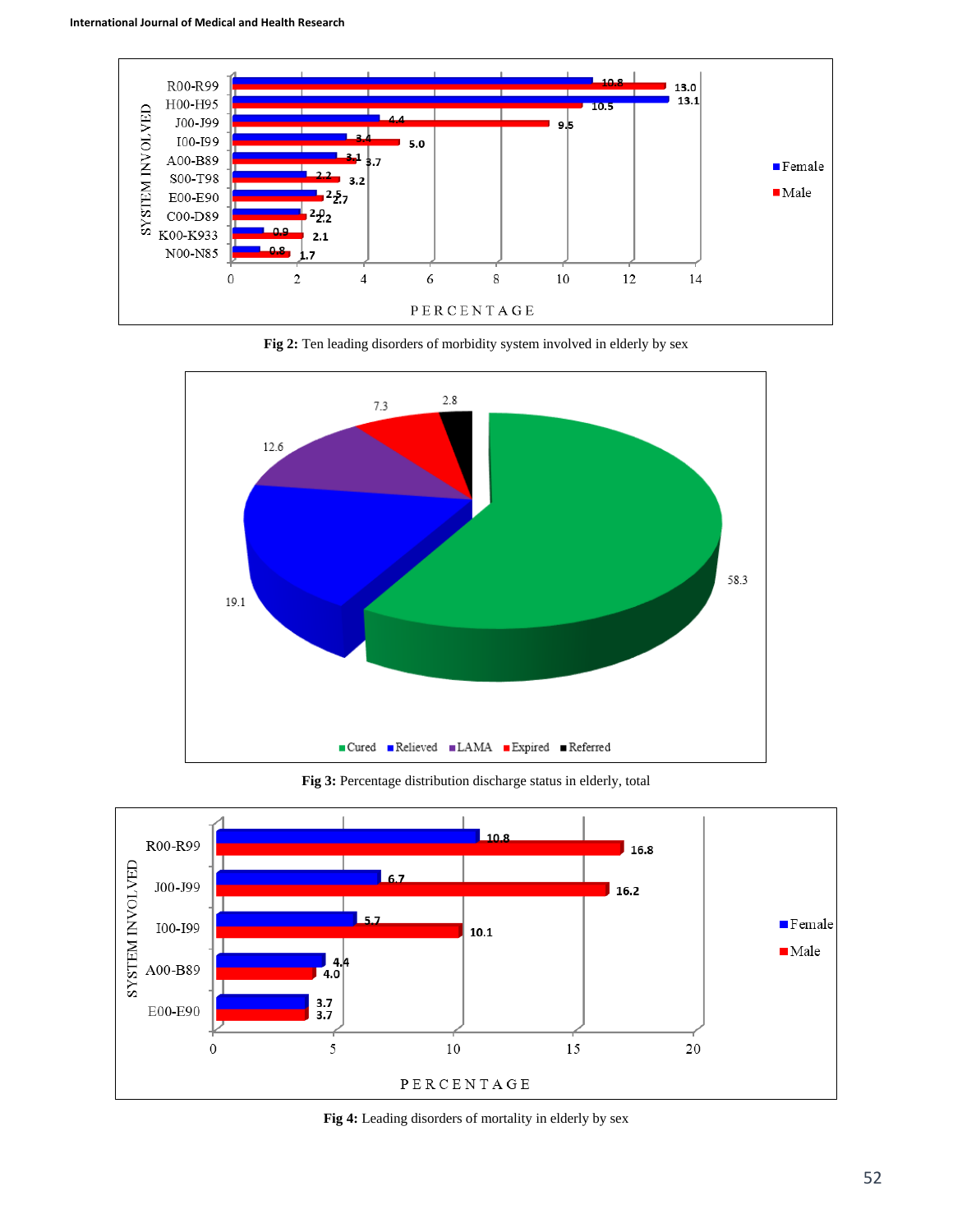

**Fig 2:** Ten leading disorders of morbidity system involved in elderly by sex



**Fig 3:** Percentage distribution discharge status in elderly, total



**Fig 4:** Leading disorders of mortality in elderly by sex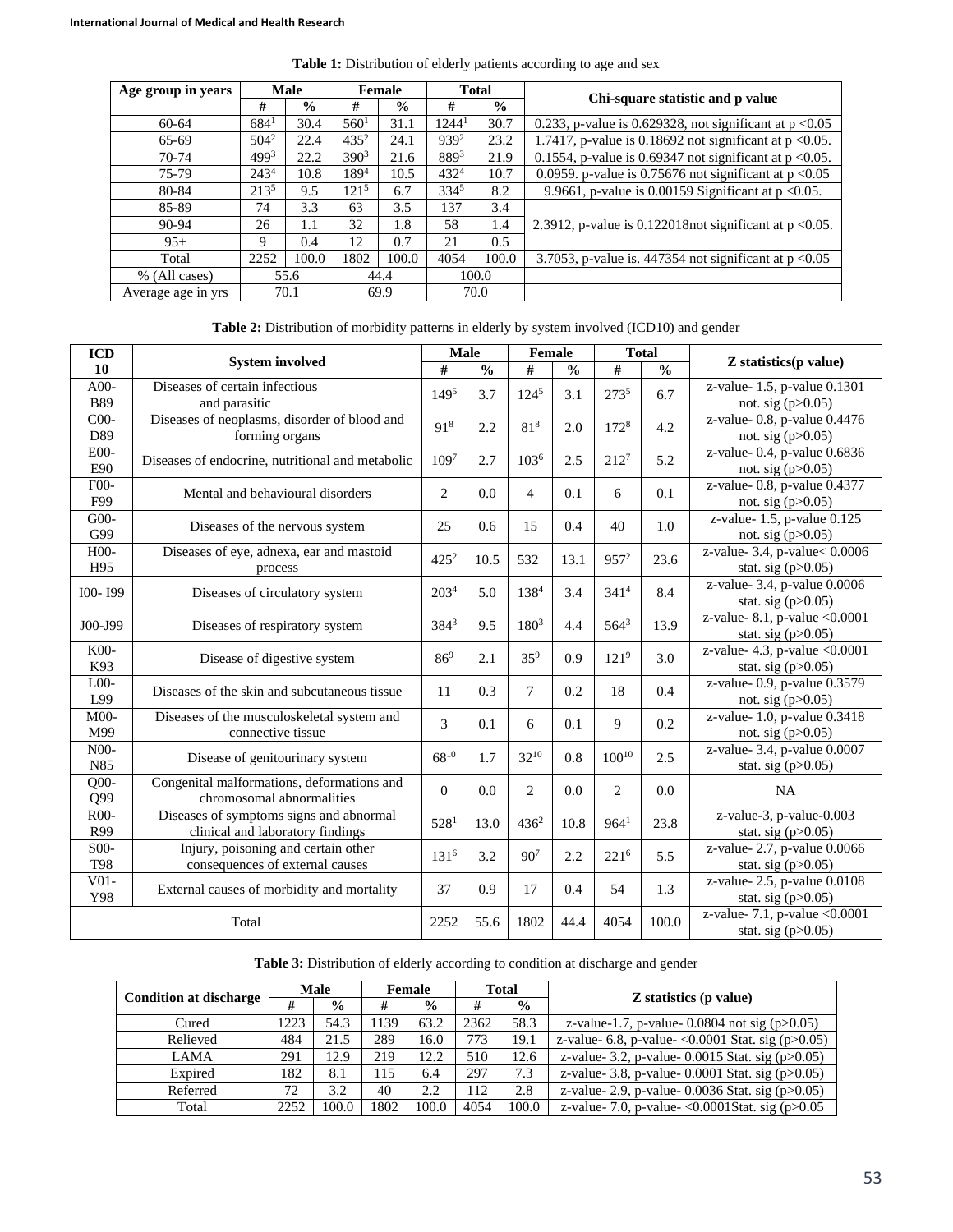| Age group in years | Male             |                | <b>Female</b>    |               | <b>Total</b>      |               | Chi-square statistic and p value                              |  |  |  |
|--------------------|------------------|----------------|------------------|---------------|-------------------|---------------|---------------------------------------------------------------|--|--|--|
|                    | #                | $\frac{6}{10}$ | #                | $\frac{0}{0}$ | #                 | $\frac{6}{9}$ |                                                               |  |  |  |
| 60-64              | 684 <sup>1</sup> | 30.4           | 560 <sup>1</sup> | 31.1          | 1244 <sup>1</sup> | 30.7          | 0.233, p-value is 0.629328, not significant at $p < 0.05$     |  |  |  |
| 65-69              | $504^2$          | 22.4           | $435^2$          | 24.1          | 9392              | 23.2          | 1.7417, p-value is 0.18692 not significant at $p < 0.05$ .    |  |  |  |
| 70-74              | 4993             | 22.2           | 390 <sup>3</sup> | 21.6          | 8893              | 21.9          | 0.1554, p-value is 0.69347 not significant at $p < 0.05$ .    |  |  |  |
| 75-79              | 243 <sup>4</sup> | 10.8           | 1894             | 10.5          | $432^{4}$         | 10.7          | 0.0959. p-value is 0.75676 not significant at $p < 0.05$      |  |  |  |
| 80-84              | $213^{5}$        | 9.5            | 121 <sup>5</sup> | 6.7           | 3345              | 8.2           | 9.9661, p-value is 0.00159 Significant at $p < 0.05$ .        |  |  |  |
| 85-89              | 74               | 3.3            | 63               | 3.5           | 137               | 3.4           |                                                               |  |  |  |
| 90-94              | 26               | 1.1            | 32               | 1.8           | 58                | 1.4           | 2.3912, p-value is $0.122018$ not significant at $p < 0.05$ . |  |  |  |
| $95+$              | 9                | 0.4            | 12               | 0.7           | 21                | $0.5^{\circ}$ |                                                               |  |  |  |
| Total              | 2252             | 100.0          | 1802             | 100.0         | 4054              | 100.0         | 3.7053, p-value is. 447354 not significant at $p < 0.05$      |  |  |  |
| % (All cases)      | 55.6             |                | 44.4             |               | 100.0             |               |                                                               |  |  |  |
| Average age in yrs |                  | 70.1           |                  | 69.9          | 70.0              |               |                                                               |  |  |  |

**Table 1:** Distribution of elderly patients according to age and sex

**Table 2:** Distribution of morbidity patterns in elderly by system involved (ICD10) and gender

| <b>ICD</b>        |                                                      |                  | <b>Male</b>   |                  | Female        |                  | <b>Total</b>  |                                  |
|-------------------|------------------------------------------------------|------------------|---------------|------------------|---------------|------------------|---------------|----------------------------------|
| 10                | <b>System involved</b>                               | #                | $\frac{0}{0}$ | #                | $\frac{0}{0}$ | $\#$             | $\frac{0}{0}$ | <b>Z</b> statistics(p value)     |
| $A00-$            | Diseases of certain infectious<br>1495               |                  | 3.7           | $124^{5}$        | 3.1           | 2735             | 6.7           | z-value-1.5, p-value 0.1301      |
| <b>B89</b>        | and parasitic                                        |                  |               |                  |               |                  |               | not. sig (p>0.05)                |
| C <sub>00</sub>   | Diseases of neoplasms, disorder of blood and         |                  | 2.2           | $81^{8}$         | 2.0           | 1728             | 4.2           | z-value- 0.8, p-value $0.4476$   |
| D89               | forming organs                                       | 918              |               |                  |               |                  |               | not. sig $(p>0.05)$              |
| E00-              | Diseases of endocrine, nutritional and metabolic     |                  | 2.7           | 103 <sup>6</sup> | 2.5           | $212^{7}$        | 5.2           | z-value- 0.4, p-value 0.6836     |
| E90               |                                                      | 1097             |               |                  |               |                  |               | not. sig $(p>0.05)$              |
| $F00-$            | Mental and behavioural disorders                     | 2                | 0.0           | $\overline{4}$   | 0.1           | 6                | 0.1           | z-value- 0.8, p-value 0.4377     |
| F99               |                                                      |                  |               |                  |               |                  |               | not. sig $(p>0.05)$              |
| G00-              | Diseases of the nervous system                       | 25               | 0.6           | 15               | 0.4           | 40               | 1.0           | z-value-1.5, p-value 0.125       |
| G99               |                                                      |                  |               |                  |               |                  |               | not. sig $(p>0.05)$              |
| $H00-$            | Diseases of eye, adnexa, ear and mastoid             | $425^2$          | 10.5          | 532 <sup>1</sup> | 13.1          | $957^2$          | 23.6          | z-value- 3.4, p-value< 0.0006    |
| H95               | process                                              |                  |               |                  |               |                  |               | stat. sig $(p>0.05)$             |
| I00-199           | Diseases of circulatory system                       | 203 <sup>4</sup> | 5.0           | 1384             | 3.4           | 341 <sup>4</sup> | 8.4           | z-value- 3.4, p-value 0.0006     |
|                   |                                                      |                  |               |                  |               |                  |               | stat. sig $(p>0.05)$             |
| J00-J99           | Diseases of respiratory system                       | 3843             | 9.5           | $180^{3}$        | 4.4           | 5643             | 13.9          | z-value- 8.1, p-value $< 0.0001$ |
|                   |                                                      |                  |               |                  |               |                  |               | stat. sig $(p>0.05)$             |
| K00-              | Disease of digestive system                          |                  | 2.1           | $35^{9}$         | 0.9           | 121 <sup>9</sup> | 3.0           | z-value- 4.3, p-value $<0.0001$  |
| K93               |                                                      |                  |               |                  |               |                  |               | stat. sig $(p>0.05)$             |
| L <sub>00</sub>   | Diseases of the skin and subcutaneous tissue         |                  | 0.3           | $\tau$           | 0.2           | 18               | 0.4           | z-value- 0.9, p-value 0.3579     |
| L99               |                                                      |                  |               |                  |               |                  |               | not. sig $(p>0.05)$              |
| M <sub>00</sub>   | Diseases of the musculoskeletal system and           |                  | 0.1           | 6                | 0.1           | 9                | 0.2           | z-value- 1.0, p-value 0.3418     |
| M99               | connective tissue                                    |                  |               |                  |               |                  |               | not. sig $(p>0.05)$              |
| N <sub>0</sub> 0- | Disease of genitourinary system                      |                  | 1.7           | $32^{10}$        | 0.8           | $100^{10}$       | 2.5           | z-value- 3.4, p-value 0.0007     |
| N85               |                                                      |                  |               |                  |               |                  |               | stat. sig $(p>0.05)$             |
| $Q00-$            | Congenital malformations, deformations and           |                  | 0.0           | $\overline{c}$   | 0.0           | 2                | 0.0           | <b>NA</b>                        |
| Q99               | chromosomal abnormalities                            |                  |               |                  |               |                  |               |                                  |
| R <sub>00</sub> - | Diseases of symptoms signs and abnormal              |                  | 13.0          | $436^2$          | 10.8          | 964 <sup>1</sup> | 23.8          | z-value-3, p-value-0.003         |
| R99               | clinical and laboratory findings                     |                  |               |                  |               |                  |               | stat. sig $(p>0.05)$             |
| S00-              | Injury, poisoning and certain other                  |                  | 3.2           | $90^7$           | 2.2           | 2216             | 5.5           | z-value-2.7, p-value 0.0066      |
| <b>T98</b>        | consequences of external causes                      |                  |               |                  |               |                  |               | stat. sig $(p>0.05)$             |
|                   | $V01-$<br>External causes of morbidity and mortality |                  | 0.9           | 17               | 0.4           | 54               | 1.3           | z-value-2.5, p-value 0.0108      |
| Y98               |                                                      | 37               |               |                  |               |                  |               | stat. sig $(p>0.05)$             |
| Total             |                                                      |                  | 55.6          | 1802             | 44.4          | 4054             | 100.0         | z-value- 7.1, p-value $< 0.0001$ |
|                   |                                                      |                  |               |                  |               |                  |               | stat. sig $(p>0.05)$             |

|                               | <b>Male</b> |               | Female |               | <b>Total</b> |               |                                                          |  |  |
|-------------------------------|-------------|---------------|--------|---------------|--------------|---------------|----------------------------------------------------------|--|--|
| <b>Condition at discharge</b> | #           | $\frac{0}{0}$ | #      | $\frac{0}{0}$ | #            | $\frac{0}{0}$ | <b>Z</b> statistics (p value)                            |  |  |
| Cured                         | 1223        | 54.3          | 139    | 63.2          | 2362         | 58.3          | z-value-1.7, p-value-0.0804 not sig $(p>0.05)$           |  |  |
| Relieved                      | 484         | 21.5          | 289    | 16.0          | 773          | 19.1          | z-value- 6.8, p-value- < 0.0001 Stat. sig ( $p > 0.05$ ) |  |  |
| LAMA                          | 291         | 12.9          | 219    | 12.2          | 510          | 12.6          | z-value- 3.2, p-value- $0.0015$ Stat. sig (p>0.05)       |  |  |
| Expired                       | 182         | 8.1           | 15     | 6.4           | 297          | 7.3           | z-value- 3.8, p-value- $0.0001$ Stat. sig (p> $0.05$ )   |  |  |
| Referred                      | 72          | 3.2           | 40     | 2.2           | 112          | 2.8           | z-value- 2.9, p-value- $0.0036$ Stat. sig (p $>0.05$ )   |  |  |
| Total                         | 2252        | 100.0         | 1802   | 100.0         | 4054         | 100.0         | z-value- 7.0, p-value- < $0.0001$ Stat. sig (p> $0.05$ ) |  |  |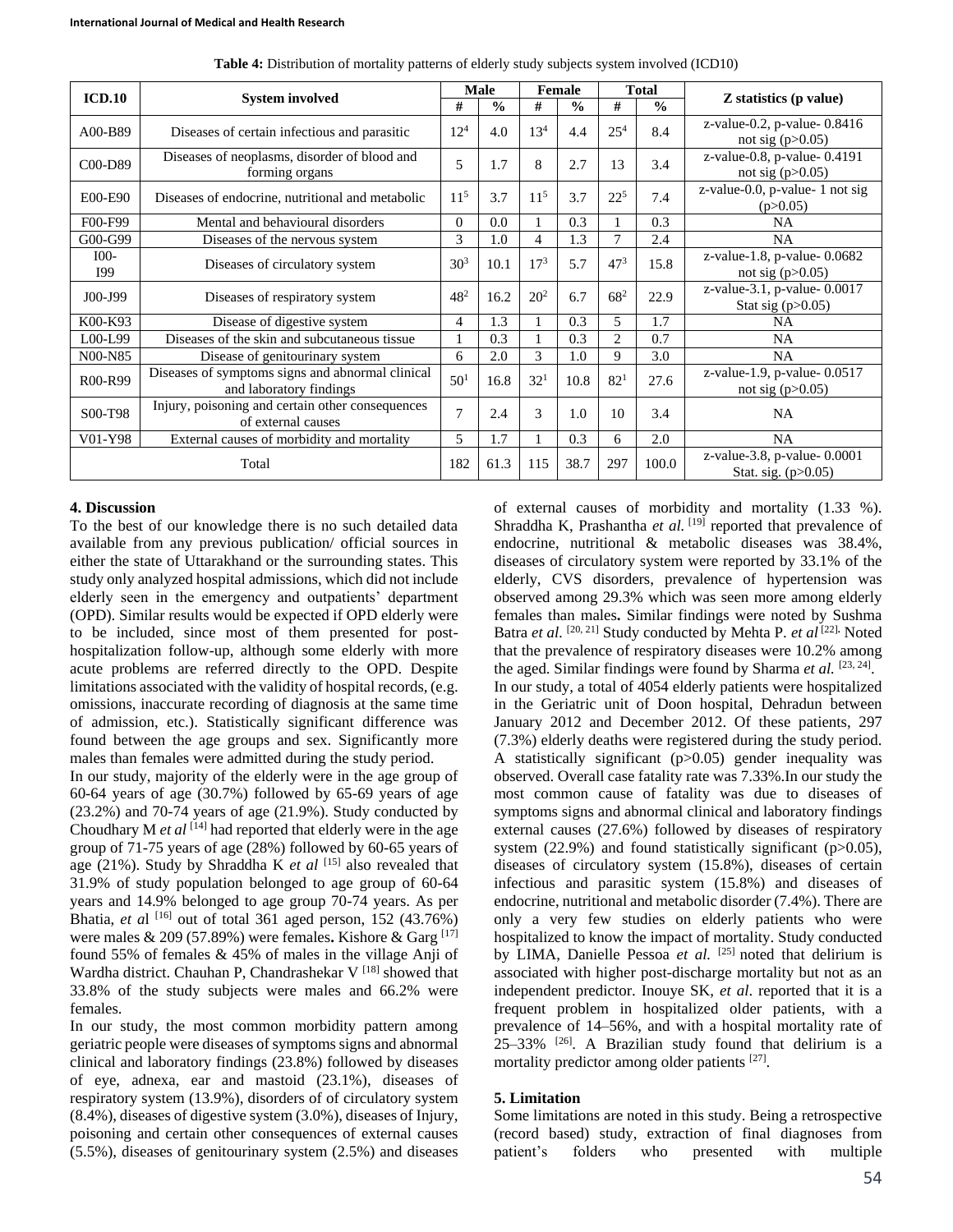| ICD.10          |                                                  | <b>Male</b>     |               | Female          |               | <b>Total</b>    |               |                                |
|-----------------|--------------------------------------------------|-----------------|---------------|-----------------|---------------|-----------------|---------------|--------------------------------|
|                 | <b>System involved</b>                           | #               | $\frac{0}{0}$ | #               | $\frac{0}{0}$ | #               | $\frac{0}{0}$ | Z statistics (p value)         |
| A00-B89         |                                                  | $12^{4}$        | 4.0           | 13 <sup>4</sup> | 4.4           | $25^{4}$        | 8.4           | z-value-0.2, p-value- $0.8416$ |
|                 | Diseases of certain infectious and parasitic     |                 |               |                 |               |                 |               | not sig $(p>0.05)$             |
| C00-D89         | Diseases of neoplasms, disorder of blood and     | 5               | 1.7           | 8               | 2.7           | 13              | 3.4           | z-value-0.8, p-value-0.4191    |
|                 | forming organs                                   |                 |               |                 |               |                 |               | not sig $(p>0.05)$             |
| E00-E90         | Diseases of endocrine, nutritional and metabolic | 11 <sup>5</sup> | 3.7           | $11^{5}$        | 3.7           | $22^{5}$        | 7.4           | z-value-0.0, p-value-1 not sig |
|                 |                                                  |                 |               |                 |               |                 |               | (p>0.05)                       |
| F00-F99         | Mental and behavioural disorders                 |                 | 0.0           |                 | 0.3           |                 | 0.3           | <b>NA</b>                      |
| G00-G99         | Diseases of the nervous system                   |                 | 1.0           | 4               | 1.3           | 7               | 2.4           | <b>NA</b>                      |
| I <sub>00</sub> | Diseases of circulatory system                   | 30 <sup>3</sup> | 10.1          | $17^{3}$        | 5.7           | 47 <sup>3</sup> | 15.8          | z-value-1.8, p-value-0.0682    |
| <b>I</b> 99     |                                                  |                 |               |                 |               |                 |               | not sig $(p>0.05)$             |
| J00-J99         | Diseases of respiratory system                   | $48^{2}$        | 16.2          | $20^{2}$        | 6.7           | $68^{2}$        | 22.9          | z-value-3.1, p-value-0.0017    |
|                 |                                                  |                 |               |                 |               |                 |               | Stat sig $(p>0.05)$            |
| K00-K93         | Disease of digestive system                      |                 | 1.3           |                 | 0.3           | 5               | 1.7           | NA                             |
| $LOO-L99$       | Diseases of the skin and subcutaneous tissue     |                 | 0.3           |                 | 0.3           | $\mathfrak{2}$  | 0.7           | <b>NA</b>                      |
| N00-N85         | Disease of genitourinary system                  |                 | 2.0           | 3               | 1.0           | 9               | 3.0           | <b>NA</b>                      |
| R00-R99         | Diseases of symptoms signs and abnormal clinical | 50 <sup>1</sup> | 16.8          | 32 <sup>1</sup> | 10.8          | 82 <sup>1</sup> | 27.6          | z-value-1.9, p-value-0.0517    |
|                 | and laboratory findings                          |                 |               |                 |               |                 |               | not sig $(p>0.05)$             |
| S00-T98         | Injury, poisoning and certain other consequences | 7               | 2.4           | 3               | 1.0           | 10              | 3.4           | <b>NA</b>                      |
|                 | of external causes                               |                 |               |                 |               |                 |               |                                |
| V01-Y98         | External causes of morbidity and mortality       |                 | 1.7           |                 | 0.3           | 6               | 2.0           | <b>NA</b>                      |
| Total           |                                                  | 182             | 61.3          | 115             | 38.7          | 297             | 100.0         | z-value-3.8, p-value-0.0001    |
|                 |                                                  |                 |               |                 |               |                 |               | Stat. sig. $(p>0.05)$          |

**Table 4:** Distribution of mortality patterns of elderly study subjects system involved (ICD10)

#### **4. Discussion**

To the best of our knowledge there is no such detailed data available from any previous publication/ official sources in either the state of Uttarakhand or the surrounding states. This study only analyzed hospital admissions, which did not include elderly seen in the emergency and outpatients' department (OPD). Similar results would be expected if OPD elderly were to be included, since most of them presented for posthospitalization follow-up, although some elderly with more acute problems are referred directly to the OPD. Despite limitations associated with the validity of hospital records, (e.g. omissions, inaccurate recording of diagnosis at the same time of admission, etc.). Statistically significant difference was found between the age groups and sex. Significantly more males than females were admitted during the study period.

In our study, majority of the elderly were in the age group of 60-64 years of age (30.7%) followed by 65-69 years of age (23.2%) and 70-74 years of age (21.9%). Study conducted by Choudhary M *et al* <sup>[14]</sup> had reported that elderly were in the age group of 71-75 years of age (28%) followed by 60-65 years of age (21%). Study by Shraddha K *et al* [15] also revealed that 31.9% of study population belonged to age group of 60-64 years and 14.9% belonged to age group 70-74 years. As per Bhatia, *et al*  $[16]$  out of total 361 aged person, 152 (43.76%) were males & 209 (57.89%) were females**.** Kishore & Garg [17] found 55% of females & 45% of males in the village Anji of Wardha district. Chauhan P, Chandrashekar  $V^{[18]}$  showed that 33.8% of the study subjects were males and 66.2% were females.

In our study, the most common morbidity pattern among geriatric people were diseases of symptoms signs and abnormal clinical and laboratory findings (23.8%) followed by diseases of eye, adnexa, ear and mastoid (23.1%), diseases of respiratory system (13.9%), disorders of of circulatory system (8.4%), diseases of digestive system (3.0%), diseases of Injury, poisoning and certain other consequences of external causes (5.5%), diseases of genitourinary system (2.5%) and diseases

of external causes of morbidity and mortality (1.33 %). Shraddha K, Prashantha et al. [19] reported that prevalence of endocrine, nutritional & metabolic diseases was 38.4%, diseases of circulatory system were reported by 33.1% of the elderly, CVS disorders, prevalence of hypertension was observed among 29.3% which was seen more among elderly females than males**.** Similar findings were noted by Sushma Batra *et al.* [20, 21] Study conducted by Mehta P. *et al* [22]**.** Noted that the prevalence of respiratory diseases were 10.2% among the aged. Similar findings were found by Sharma et al. [23, 24]. In our study, a total of 4054 elderly patients were hospitalized in the Geriatric unit of Doon hospital, Dehradun between January 2012 and December 2012. Of these patients, 297 (7.3%) elderly deaths were registered during the study period. A statistically significant (p>0.05) gender inequality was observed. Overall case fatality rate was 7.33%.In our study the most common cause of fatality was due to diseases of symptoms signs and abnormal clinical and laboratory findings external causes (27.6%) followed by diseases of respiratory system  $(22.9%)$  and found statistically significant (p $>0.05$ ), diseases of circulatory system (15.8%), diseases of certain infectious and parasitic system (15.8%) and diseases of endocrine, nutritional and metabolic disorder (7.4%). There are only a very few studies on elderly patients who were hospitalized to know the impact of mortality. Study conducted by LIMA, Danielle Pessoa et al. <sup>[25]</sup> noted that delirium is associated with higher post-discharge mortality but not as an independent predictor. Inouye SK, *et al*. reported that it is a frequent problem in hospitalized older patients, with a prevalence of 14–56%, and with a hospital mortality rate of 25–33% [26]. A Brazilian study found that delirium is a mortality predictor among older patients [27].

## **5. Limitation**

Some limitations are noted in this study. Being a retrospective (record based) study, extraction of final diagnoses from patient's folders who presented with multiple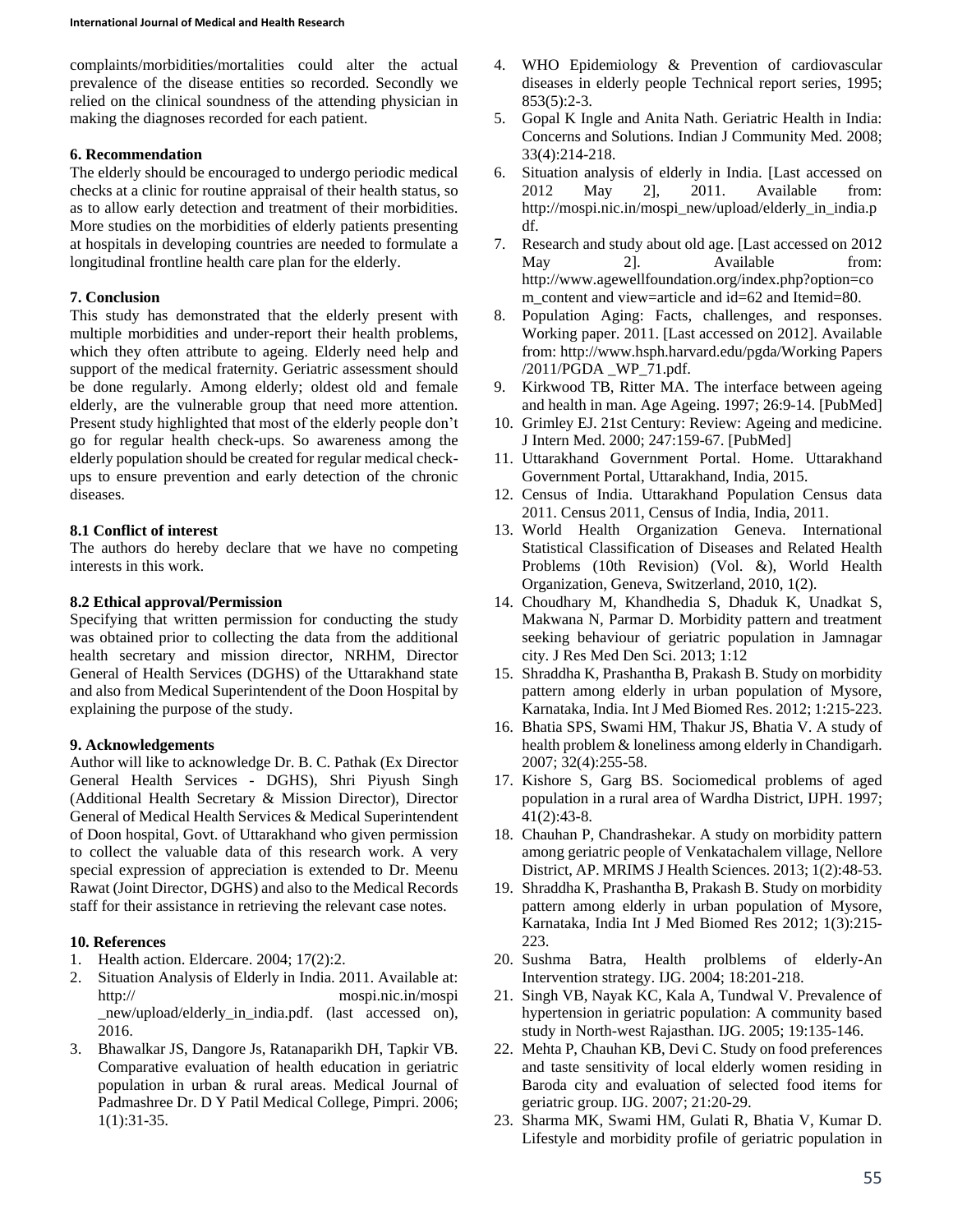complaints/morbidities/mortalities could alter the actual prevalence of the disease entities so recorded. Secondly we relied on the clinical soundness of the attending physician in making the diagnoses recorded for each patient.

#### **6. Recommendation**

The elderly should be encouraged to undergo periodic medical checks at a clinic for routine appraisal of their health status, so as to allow early detection and treatment of their morbidities. More studies on the morbidities of elderly patients presenting at hospitals in developing countries are needed to formulate a longitudinal frontline health care plan for the elderly.

### **7. Conclusion**

This study has demonstrated that the elderly present with multiple morbidities and under-report their health problems, which they often attribute to ageing. Elderly need help and support of the medical fraternity. Geriatric assessment should be done regularly. Among elderly; oldest old and female elderly, are the vulnerable group that need more attention. Present study highlighted that most of the elderly people don't go for regular health check-ups. So awareness among the elderly population should be created for regular medical checkups to ensure prevention and early detection of the chronic diseases.

#### **8.1 Conflict of interest**

The authors do hereby declare that we have no competing interests in this work.

#### **8.2 Ethical approval/Permission**

Specifying that written permission for conducting the study was obtained prior to collecting the data from the additional health secretary and mission director, NRHM, Director General of Health Services (DGHS) of the Uttarakhand state and also from Medical Superintendent of the Doon Hospital by explaining the purpose of the study.

## **9. Acknowledgements**

Author will like to acknowledge Dr. B. C. Pathak (Ex Director General Health Services - DGHS), Shri Piyush Singh (Additional Health Secretary & Mission Director), Director General of Medical Health Services & Medical Superintendent of Doon hospital, Govt. of Uttarakhand who given permission to collect the valuable data of this research work. A very special expression of appreciation is extended to Dr. Meenu Rawat (Joint Director, DGHS) and also to the Medical Records staff for their assistance in retrieving the relevant case notes.

## **10. References**

- 1. Health action. Eldercare. 2004; 17(2):2.
- 2. Situation Analysis of Elderly in India. 2011. Available at: http:// mospi.nic.in/mospi new/upload/elderly in india.pdf. (last accessed on), 2016.
- 3. Bhawalkar JS, Dangore Js, Ratanaparikh DH, Tapkir VB. Comparative evaluation of health education in geriatric population in urban & rural areas. Medical Journal of Padmashree Dr. D Y Patil Medical College, Pimpri. 2006; 1(1):31-35.
- 4. WHO Epidemiology & Prevention of cardiovascular diseases in elderly people Technical report series, 1995;  $853(5):2-3.$
- 5. Gopal K Ingle and Anita Nath. Geriatric Health in India: Concerns and Solutions. Indian J Community Med. 2008; 33(4):214-218.
- 6. Situation analysis of elderly in India. [Last accessed on 2012 May 2], 2011. Available from: http://mospi.nic.in/mospi\_new/upload/elderly\_in\_india.p df.
- 7. Research and study about old age. [Last accessed on 2012 May 2]. Available from: http://www.agewellfoundation.org/index.php?option=co m\_content and view=article and id=62 and Itemid=80.
- 8. Population Aging: Facts, challenges, and responses. Working paper. 2011. [Last accessed on 2012]. Available from: http://www.hsph.harvard.edu/pgda/Working Papers /2011/PGDA \_WP\_71.pdf.
- 9. Kirkwood TB, Ritter MA. The interface between ageing and health in man. Age Ageing. 1997; 26:9-14. [PubMed]
- 10. Grimley EJ. 21st Century: Review: Ageing and medicine. J Intern Med. 2000; 247:159-67. [PubMed]
- 11. Uttarakhand Government Portal. Home. Uttarakhand Government Portal, Uttarakhand, India, 2015.
- 12. Census of India. Uttarakhand Population Census data 2011. Census 2011, Census of India, India, 2011.
- 13. World Health Organization Geneva. International Statistical Classification of Diseases and Related Health Problems (10th Revision) (Vol. &), World Health Organization, Geneva, Switzerland, 2010, 1(2).
- 14. Choudhary M, Khandhedia S, Dhaduk K, Unadkat S, Makwana N, Parmar D. Morbidity pattern and treatment seeking behaviour of geriatric population in Jamnagar city. J Res Med Den Sci. 2013; 1:12
- 15. Shraddha K, Prashantha B, Prakash B. Study on morbidity pattern among elderly in urban population of Mysore, Karnataka, India. Int J Med Biomed Res. 2012; 1:215-223.
- 16. Bhatia SPS, Swami HM, Thakur JS, Bhatia V. A study of health problem & loneliness among elderly in Chandigarh. 2007; 32(4):255-58.
- 17. Kishore S, Garg BS. Sociomedical problems of aged population in a rural area of Wardha District, IJPH. 1997; 41(2):43-8.
- 18. Chauhan P, Chandrashekar. A study on morbidity pattern among geriatric people of Venkatachalem village, Nellore District, AP. MRIMS J Health Sciences. 2013; 1(2):48-53.
- 19. Shraddha K, Prashantha B, Prakash B. Study on morbidity pattern among elderly in urban population of Mysore, Karnataka, India Int J Med Biomed Res 2012; 1(3):215- 223.
- 20. Sushma Batra, Health prolblems of elderly-An Intervention strategy. IJG. 2004; 18:201-218.
- 21. Singh VB, Nayak KC, Kala A, Tundwal V. Prevalence of hypertension in geriatric population: A community based study in North-west Rajasthan. IJG. 2005; 19:135-146.
- 22. Mehta P, Chauhan KB, Devi C. Study on food preferences and taste sensitivity of local elderly women residing in Baroda city and evaluation of selected food items for geriatric group. IJG. 2007; 21:20-29.
- 23. Sharma MK, Swami HM, Gulati R, Bhatia V, Kumar D. Lifestyle and morbidity profile of geriatric population in